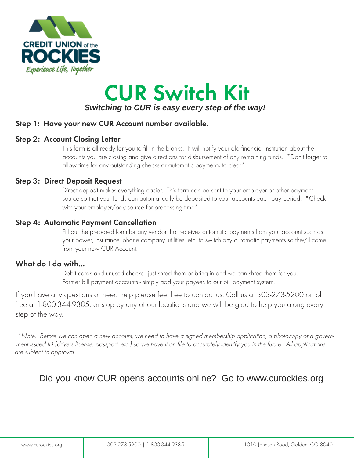

# CUR Switch Kit **Switching to CUR is easy every step of the way!**

#### Step 1: Have your new CUR Account number available.

#### Step 2: Account Closing Letter

This form is all ready for you to fill in the blanks. It will notify your old financial institution about the accounts you are closing and give directions for disbursement of any remaining funds. \*Don't forget to allow time for any outstanding checks or automatic payments to clear\*

#### Step 3: Direct Deposit Request

Direct deposit makes everything easier. This form can be sent to your employer or other payment source so that your funds can automatically be deposited to your accounts each pay period. \* Check with your employer/pay source for processing time\*

#### Step 4: Automatic Payment Cancellation

Fill out the prepared form for any vendor that receives automatic payments from your account such as your power, insurance, phone company, utilities, etc. to switch any automatic payments so they'll come from your new CUR Account.

#### What do I do with...

Debit cards and unused checks - just shred them or bring in and we can shred them for you. Former bill payment accounts - simply add your payees to our bill payment system.

If you have any questions or need help please feel free to contact us. Call us at 303-273-5200 or toll free at 1-800-344-9385, or stop by any of our locations and we will be glad to help you along every step of the way.

\*Note: Before we can open a new account, we need to have a signed membership application, a photocopy of a government issued ID (drivers license, passport, etc.) so we have it on file to accurately identify you in the future. All applications are subject to approval.

## Did you know CUR opens accounts online? Go to www.curockies.org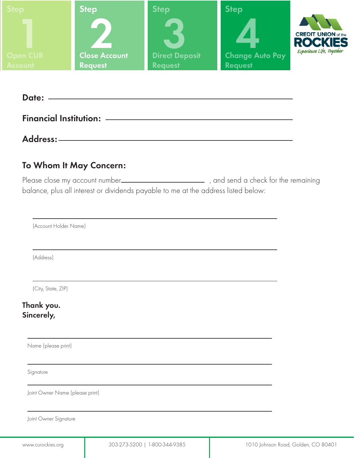

| Date: -                       |  |  |
|-------------------------------|--|--|
| <b>Financial Institution:</b> |  |  |

Address:

### To Whom It May Concern:

Please close my account number , and send a check for the remaining balance, plus all interest or dividends payable to me at the address listed below:

(Account Holder Name)

(Address)

(City, State, ZIP)

Thank you. Sincerely,

Name (please print)

Signature

Joint Owner Name (please print)

Joint Owner Signature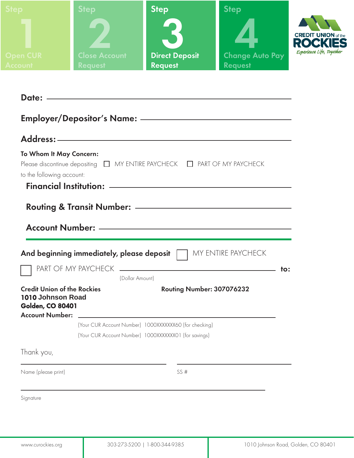| <b>Step</b>                                             | <b>Step</b>                            | Step                                                                                                                 | <b>Step</b>                                      |                                                         |
|---------------------------------------------------------|----------------------------------------|----------------------------------------------------------------------------------------------------------------------|--------------------------------------------------|---------------------------------------------------------|
|                                                         |                                        |                                                                                                                      |                                                  | <b>CREDIT UNION</b> of the<br>Experience Life, Together |
| <b>Open CUR</b><br><b>Account</b>                       | <b>Close Account</b><br><b>Request</b> | <b>Direct Deposit</b><br>Request                                                                                     | <b>Change Auto Pay</b><br><b>Request Request</b> |                                                         |
|                                                         |                                        |                                                                                                                      |                                                  |                                                         |
|                                                         |                                        |                                                                                                                      |                                                  |                                                         |
|                                                         |                                        |                                                                                                                      |                                                  |                                                         |
|                                                         |                                        |                                                                                                                      |                                                  |                                                         |
|                                                         |                                        |                                                                                                                      |                                                  |                                                         |
| To Whom It May Concern:                                 |                                        |                                                                                                                      |                                                  |                                                         |
| to the following account:                               |                                        | Please discontinue depositing □ MY ENTIRE PAYCHECK □ PART OF MY PAYCHECK                                             |                                                  |                                                         |
|                                                         |                                        |                                                                                                                      |                                                  |                                                         |
|                                                         |                                        |                                                                                                                      |                                                  |                                                         |
|                                                         |                                        |                                                                                                                      |                                                  |                                                         |
|                                                         |                                        |                                                                                                                      |                                                  |                                                         |
|                                                         |                                        |                                                                                                                      |                                                  |                                                         |
|                                                         |                                        |                                                                                                                      |                                                  |                                                         |
|                                                         |                                        | And beginning immediately, please deposit   MY ENTIRE PAYCHECK                                                       |                                                  |                                                         |
|                                                         | PART OF MY PAYCHECK<br>(Dollar Amount) | <u> 1989 - Johann Stein, marwolaethau a bhann an t-Amhair ann an t-Amhair an t-Amhair an t-Amhair an t-Amhair an</u> | to:                                              |                                                         |
| <b>Credit Union of the Rockies</b><br>1010 Johnson Road |                                        | Routing Number: 307076232                                                                                            |                                                  |                                                         |

(Your CUR Account Number) 1000XXXXXXX01 (for savings)

(Your CUR Account Number) 1000XXXXXXX60 (for checking)

Thank you,

Name (please print)

SS #

Signature